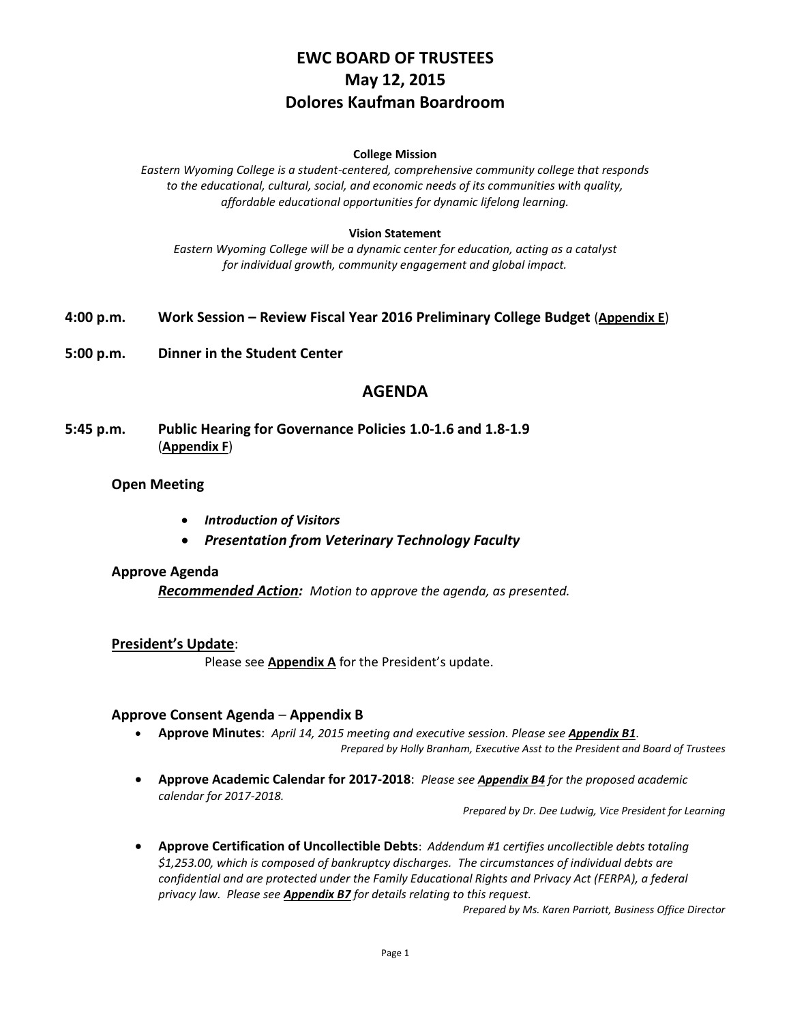# **EWC BOARD OF TRUSTEES May 12, 2015 Dolores Kaufman Boardroom**

#### **College Mission**

*Eastern Wyoming College is a student-centered, comprehensive community college that responds to the educational, cultural, social, and economic needs of its communities with quality, affordable educational opportunities for dynamic lifelong learning.*

#### **Vision Statement**

*Eastern Wyoming College will be a dynamic center for education, acting as a catalyst for individual growth, community engagement and global impact.*

- **4:00 p.m. Work Session – Review Fiscal Year 2016 Preliminary College Budget** (**Appendix E**)
- **5:00 p.m. Dinner in the Student Center**

## **AGENDA**

**5:45 p.m. Public Hearing for Governance Policies 1.0-1.6 and 1.8-1.9** (**Appendix F**)

#### **Open Meeting**

- *Introduction of Visitors*
- *Presentation from Veterinary Technology Faculty*

#### **Approve Agenda**

*Recommended Action: Motion to approve the agenda, as presented.*

#### **President's Update**:

Please see **Appendix A** for the President's update.

#### **Approve Consent Agenda** – **Appendix B**

- **Approve Minutes**: *April 14, 2015 meeting and executive session. Please see Appendix B1*. *Prepared by Holly Branham, Executive Asst to the President and Board of Trustees*
- **Approve Academic Calendar for 2017-2018**: *Please see Appendix B4 for the proposed academic calendar for 2017-2018.*

*Prepared by Dr. Dee Ludwig, Vice President for Learning*

 **Approve Certification of Uncollectible Debts**: *Addendum #1 certifies uncollectible debts totaling \$1,253.00, which is composed of bankruptcy discharges. The circumstances of individual debts are confidential and are protected under the Family Educational Rights and Privacy Act (FERPA), a federal privacy law. Please see Appendix B7 for details relating to this request.*

*Prepared by Ms. Karen Parriott, Business Office Director*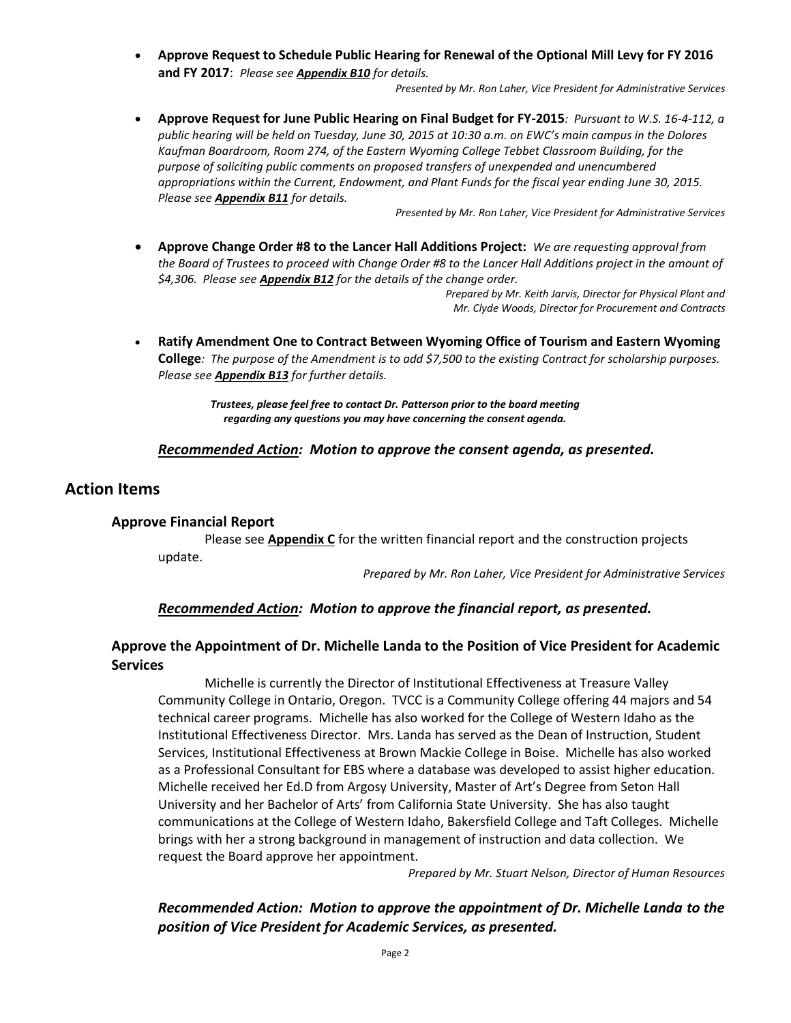**Approve Request to Schedule Public Hearing for Renewal of the Optional Mill Levy for FY 2016 and FY 2017**: *Please see Appendix B10 for details.*

*Presented by Mr. Ron Laher, Vice President for Administrative Services*

 **Approve Request for June Public Hearing on Final Budget for FY-2015***: Pursuant to W.S. 16-4-112, a public hearing will be held on Tuesday, June 30, 2015 at 10:30 a.m. on EWC's main campus in the Dolores Kaufman Boardroom, Room 274, of the Eastern Wyoming College Tebbet Classroom Building, for the purpose of soliciting public comments on proposed transfers of unexpended and unencumbered appropriations within the Current, Endowment, and Plant Funds for the fiscal year ending June 30, 2015. Please see Appendix B11 for details.*

*Presented by Mr. Ron Laher, Vice President for Administrative Services*

 **Approve Change Order #8 to the Lancer Hall Additions Project:** *We are requesting approval from the Board of Trustees to proceed with Change Order #8 to the Lancer Hall Additions project in the amount of \$4,306. Please see Appendix B12 for the details of the change order.*

*Prepared by Mr. Keith Jarvis, Director for Physical Plant and Mr. Clyde Woods, Director for Procurement and Contracts*

 **Ratify Amendment One to Contract Between Wyoming Office of Tourism and Eastern Wyoming College***: The purpose of the Amendment is to add \$7,500 to the existing Contract for scholarship purposes. Please see Appendix B13 for further details.*

> *Trustees, please feel free to contact Dr. Patterson prior to the board meeting regarding any questions you may have concerning the consent agenda.*

#### *Recommended Action: Motion to approve the consent agenda, as presented.*

### **Action Items**

#### **Approve Financial Report**

Please see **Appendix C** for the written financial report and the construction projects update.

*Prepared by Mr. Ron Laher, Vice President for Administrative Services*

#### *Recommended Action: Motion to approve the financial report, as presented.*

## **Approve the Appointment of Dr. Michelle Landa to the Position of Vice President for Academic Services**

Michelle is currently the Director of Institutional Effectiveness at Treasure Valley Community College in Ontario, Oregon. TVCC is a Community College offering 44 majors and 54 technical career programs. Michelle has also worked for the College of Western Idaho as the Institutional Effectiveness Director. Mrs. Landa has served as the Dean of Instruction, Student Services, Institutional Effectiveness at Brown Mackie College in Boise. Michelle has also worked as a Professional Consultant for EBS where a database was developed to assist higher education. Michelle received her Ed.D from Argosy University, Master of Art's Degree from Seton Hall University and her Bachelor of Arts' from California State University. She has also taught communications at the College of Western Idaho, Bakersfield College and Taft Colleges. Michelle brings with her a strong background in management of instruction and data collection. We request the Board approve her appointment.

*Prepared by Mr. Stuart Nelson, Director of Human Resources*

*Recommended Action: Motion to approve the appointment of Dr. Michelle Landa to the position of Vice President for Academic Services, as presented.*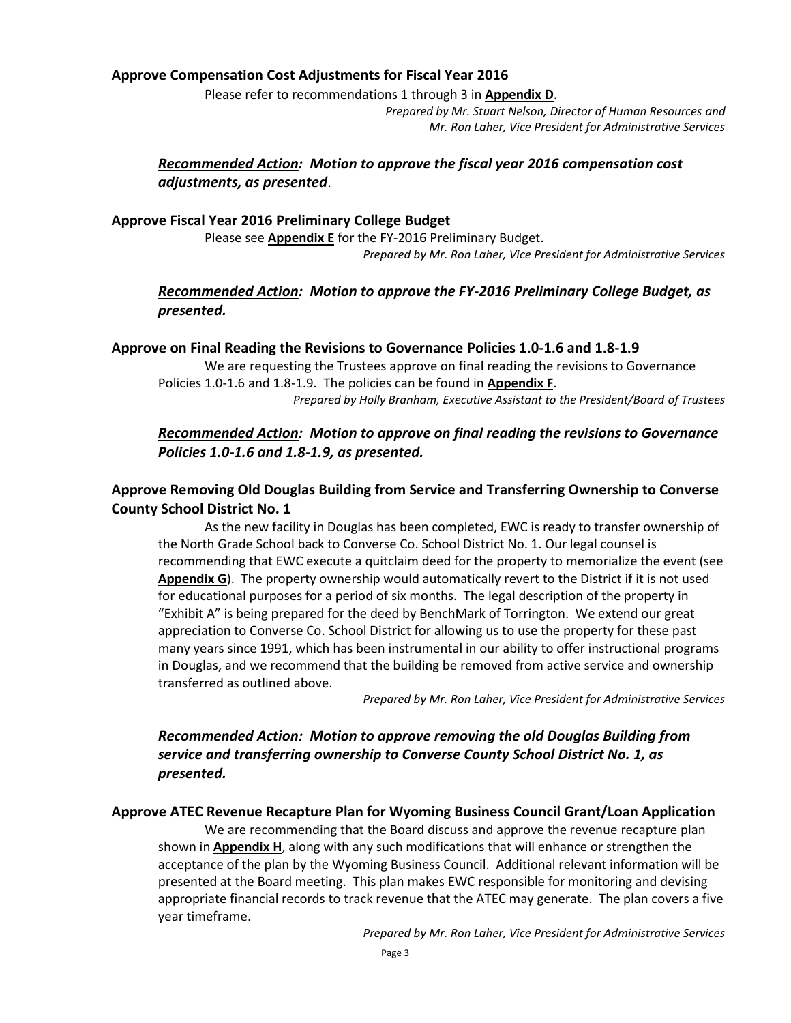### **Approve Compensation Cost Adjustments for Fiscal Year 2016**

Please refer to recommendations 1 through 3 in **Appendix D**.

*Prepared by Mr. Stuart Nelson, Director of Human Resources and Mr. Ron Laher, Vice President for Administrative Services*

## *Recommended Action: Motion to approve the fiscal year 2016 compensation cost adjustments, as presented*.

### **Approve Fiscal Year 2016 Preliminary College Budget**

Please see **Appendix E** for the FY-2016 Preliminary Budget. *Prepared by Mr. Ron Laher, Vice President for Administrative Services*

### *Recommended Action: Motion to approve the FY-2016 Preliminary College Budget, as presented.*

### **Approve on Final Reading the Revisions to Governance Policies 1.0-1.6 and 1.8-1.9**

We are requesting the Trustees approve on final reading the revisions to Governance Policies 1.0-1.6 and 1.8-1.9. The policies can be found in **Appendix F**. *Prepared by Holly Branham, Executive Assistant to the President/Board of Trustees*

## *Recommended Action: Motion to approve on final reading the revisions to Governance Policies 1.0-1.6 and 1.8-1.9, as presented.*

## **Approve Removing Old Douglas Building from Service and Transferring Ownership to Converse County School District No. 1**

As the new facility in Douglas has been completed, EWC is ready to transfer ownership of the North Grade School back to Converse Co. School District No. 1. Our legal counsel is recommending that EWC execute a quitclaim deed for the property to memorialize the event (see **Appendix G**). The property ownership would automatically revert to the District if it is not used for educational purposes for a period of six months. The legal description of the property in "Exhibit A" is being prepared for the deed by BenchMark of Torrington. We extend our great appreciation to Converse Co. School District for allowing us to use the property for these past many years since 1991, which has been instrumental in our ability to offer instructional programs in Douglas, and we recommend that the building be removed from active service and ownership transferred as outlined above.

*Prepared by Mr. Ron Laher, Vice President for Administrative Services*

## *Recommended Action: Motion to approve removing the old Douglas Building from service and transferring ownership to Converse County School District No. 1, as presented.*

#### **Approve ATEC Revenue Recapture Plan for Wyoming Business Council Grant/Loan Application**

We are recommending that the Board discuss and approve the revenue recapture plan shown in **Appendix H**, along with any such modifications that will enhance or strengthen the acceptance of the plan by the Wyoming Business Council. Additional relevant information will be presented at the Board meeting. This plan makes EWC responsible for monitoring and devising appropriate financial records to track revenue that the ATEC may generate. The plan covers a five year timeframe.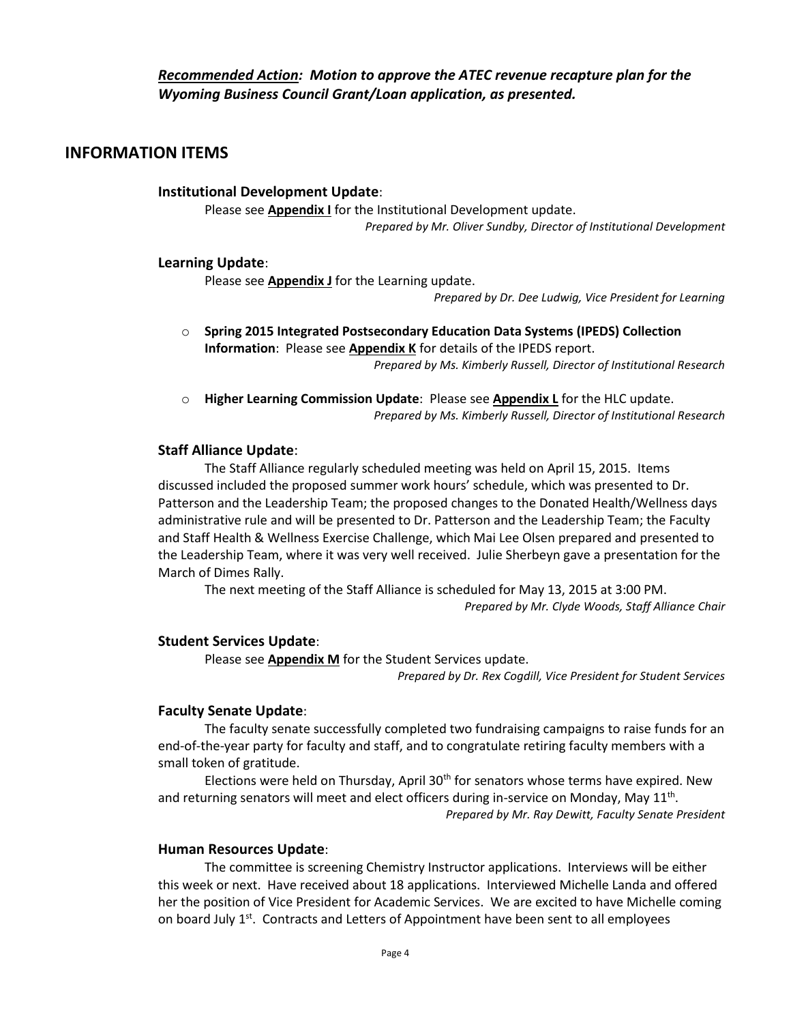## **INFORMATION ITEMS**

**Institutional Development Update**:

Please see **Appendix I** for the Institutional Development update. *Prepared by Mr. Oliver Sundby, Director of Institutional Development*

### **Learning Update**:

Please see **Appendix J** for the Learning update.

*Prepared by Dr. Dee Ludwig, Vice President for Learning*

- o **Spring 2015 Integrated Postsecondary Education Data Systems (IPEDS) Collection Information**: Please see **Appendix K** for details of the IPEDS report. *Prepared by Ms. Kimberly Russell, Director of Institutional Research*
- o **Higher Learning Commission Update**: Please see **Appendix L** for the HLC update. *Prepared by Ms. Kimberly Russell, Director of Institutional Research*

### **Staff Alliance Update**:

The Staff Alliance regularly scheduled meeting was held on April 15, 2015. Items discussed included the proposed summer work hours' schedule, which was presented to Dr. Patterson and the Leadership Team; the proposed changes to the Donated Health/Wellness days administrative rule and will be presented to Dr. Patterson and the Leadership Team; the Faculty and Staff Health & Wellness Exercise Challenge, which Mai Lee Olsen prepared and presented to the Leadership Team, where it was very well received. Julie Sherbeyn gave a presentation for the March of Dimes Rally.

The next meeting of the Staff Alliance is scheduled for May 13, 2015 at 3:00 PM. *Prepared by Mr. Clyde Woods, Staff Alliance Chair*

### **Student Services Update**:

Please see **Appendix M** for the Student Services update.

*Prepared by Dr. Rex Cogdill, Vice President for Student Services*

### **Faculty Senate Update**:

The faculty senate successfully completed two fundraising campaigns to raise funds for an end-of-the-year party for faculty and staff, and to congratulate retiring faculty members with a small token of gratitude.

Elections were held on Thursday, April  $30<sup>th</sup>$  for senators whose terms have expired. New and returning senators will meet and elect officers during in-service on Monday, May  $11^{\text{th}}$ . *Prepared by Mr. Ray Dewitt, Faculty Senate President*

#### **Human Resources Update**:

The committee is screening Chemistry Instructor applications. Interviews will be either this week or next. Have received about 18 applications. Interviewed Michelle Landa and offered her the position of Vice President for Academic Services. We are excited to have Michelle coming on board July  $1^{st}$ . Contracts and Letters of Appointment have been sent to all employees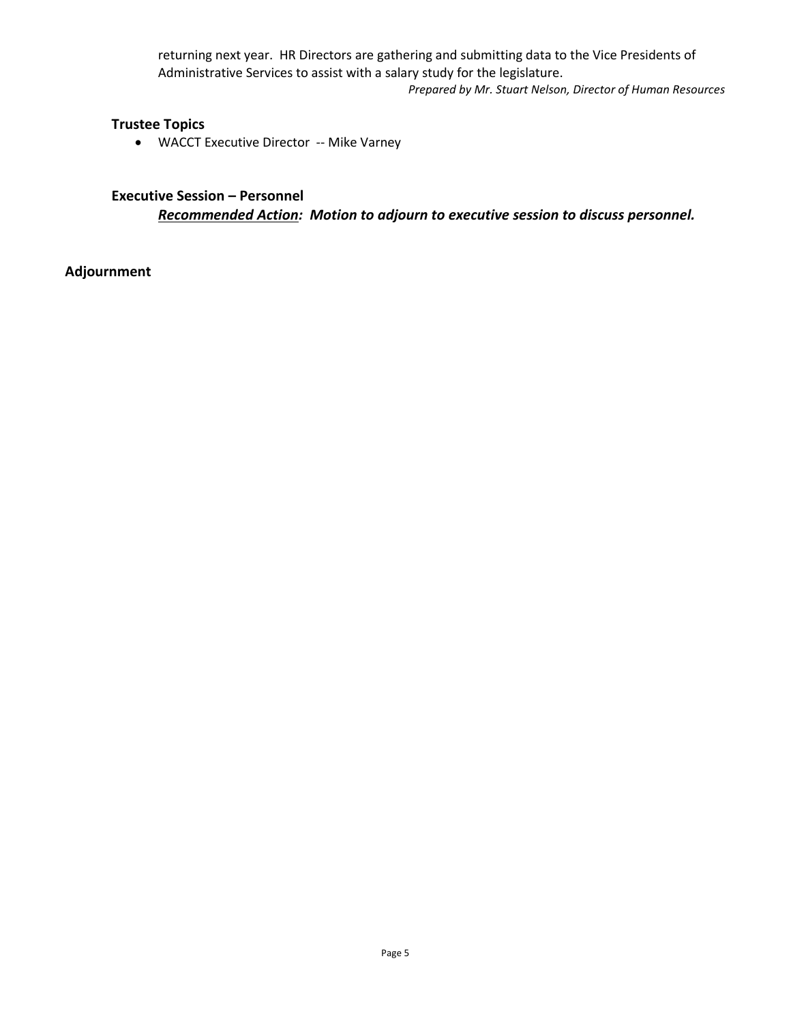returning next year. HR Directors are gathering and submitting data to the Vice Presidents of Administrative Services to assist with a salary study for the legislature. *Prepared by Mr. Stuart Nelson, Director of Human Resources*

## **Trustee Topics**

WACCT Executive Director -- Mike Varney

## **Executive Session – Personnel**

*Recommended Action: Motion to adjourn to executive session to discuss personnel.*

**Adjournment**